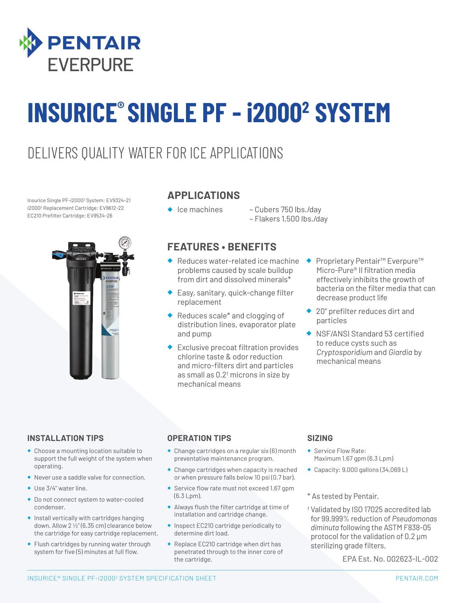

# **INSURICE® SINGLE PF - i20002 SYSTEM**

### DELIVERS QUALITY WATER FOR ICE APPLICATIONS

Insurice Single PF-i20002 System: EV9324-21 i20002 Replacement Cartridge: EV9612-22 EC210 Prefilter Cartridge: EV9534-26



#### **APPLICATIONS**

- 
- ◆ Ice machines Cubers 750 lbs./day – Flakers 1,500 lbs./day

#### **FEATURES • BENEFITS**

- ◆ Reduces water-related ice machine problems caused by scale buildup from dirt and dissolved minerals\*
- ◆ Easy, sanitary, quick-change filter replacement
- Reduces scale\* and clogging of distribution lines, evaporator plate and pump
- **Exclusive precoat filtration provides** chlorine taste & odor reduction and micro-filters dirt and particles as small as  $0.2<sup>†</sup>$  microns in size by mechanical means
- ◆ Proprietary Pentair<sup>™</sup> Everpure™ Micro-Pure® II filtration media effectively inhibits the growth of bacteria on the filter media that can decrease product life
- ◆ 20" prefilter reduces dirt and particles
- ◆ NSF/ANSI Standard 53 certified to reduce cysts such as *Cryptosporidium* and *Giardia* by mechanical means

#### **INSTALLATION TIPS**

- ◆ Choose a mounting location suitable to support the full weight of the system when operating.
- ◆ Never use a saddle valve for connection.
- ◆ Use 3/4" water line.
- ◆ Do not connect system to water-cooled condenser.
- ◆ Install vertically with cartridges hanging down. Allow 2 1/2" (6.35 cm) clearance below the cartridge for easy cartridge replacement.
- ◆ Flush cartridges by running water through system for five (5) minutes at full flow.

#### **OPERATION TIPS**

- ◆ Change cartridges on a regular six (6) month preventative maintenance program.
- ◆ Change cartridges when capacity is reached or when pressure falls below 10 psi (0.7 bar).
- ◆ Service flow rate must not exceed 1.67 gpm (6.3 Lpm).
- ◆ Always flush the filter cartridge at time of installation and cartridge change.
- ◆ Inspect EC210 cartridge periodically to determine dirt load.
- ◆ Replace EC210 cartridge when dirt has penetrated through to the inner core of the cartridge.

#### **SIZING**

- Service Flow Rate: Maximum 1.67 gpm (6.3 Lpm)
- ◆ Capacity: 9,000 gallons (34,069 L)
- \* As tested by Pentair.
- † Validated by ISO 17025 accredited lab for 99.999% reduction of *Pseudomonas diminuta* following the ASTM F838-05 protocol for the validation of 0.2 μm sterilizing grade filters.

EPA Est. No. 002623-IL-002